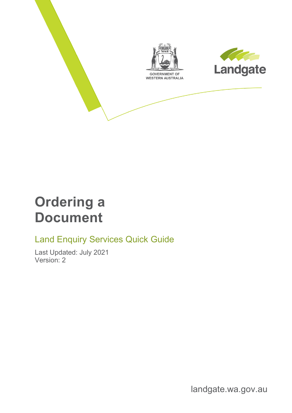

## **Ordering a Document**

#### Land Enquiry Services Quick Guide

Last Updated: July 2021 Version: 2

landgate.wa.gov.au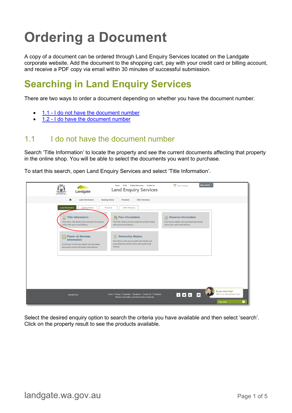# **Ordering a Document**

A copy of a document can be ordered through Land Enquiry Services located on the Landgate corporate website. Add the document to the shopping cart, pay with your credit card or billing account, and receive a PDF copy via email within 30 minutes of successful submission.

### **Searching in Land Enquiry Services**

There are two ways to order a document depending on whether you have the document number.

- 1.1 [I do not have the document number](#page-1-0)
- 1.2 [I do have the document number](#page-3-0)

#### <span id="page-1-0"></span>1.1 I do not have the document number

Search 'Title Information' to locate the property and see the current documents affecting that property in the online shop. You will be able to select the documents you want to purchase.

To start this search, open Land Enquiry Services and select 'Title Information'.



Select the desired enquiry option to search the criteria you have available and then select 'search'. Click on the property result to see the products available.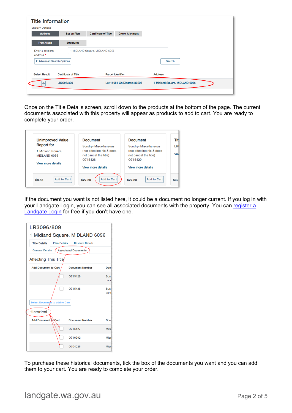| →                             | LR3096/809                  |                                | Lot 11681 On Diagram 80203 | 1 Midland Square, MIDLAND 6056 |
|-------------------------------|-----------------------------|--------------------------------|----------------------------|--------------------------------|
| <b>Select Result</b>          | <b>Certificate of Title</b> |                                | <b>Parcel Identifier</b>   | <b>Address</b>                 |
| Advanced Search Options       |                             |                                |                            | Search                         |
| Enter a property<br>address * |                             | 1 MIDLAND Square, MIDLAND 6056 |                            |                                |
| <b>Type Ahead</b>             | <b>Structured</b>           |                                |                            |                                |
| <b>Address</b>                | Lot on Plan                 | <b>Certificate of Title</b>    | <b>Crown Allotment</b>     |                                |
| <b>Enquiry Options</b>        |                             |                                |                            |                                |
| <b>Title Information</b>      |                             |                                |                            |                                |

Once on the Title Details screen, scroll down to the products at the bottom of the page. The current documents associated with this property will appear as products to add to cart. You are ready to complete your order.

| <b>Unimproved Value</b>      | <b>Document</b>               | <b>Document</b>               |      |
|------------------------------|-------------------------------|-------------------------------|------|
| <b>Report for</b>            | <b>Sundry-Miscellaneous</b>   | <b>Sundry-Miscellaneous</b>   | LR:  |
| 1 Midland Square,            | (not affecting nix & does     | (not affecting nix & does     |      |
| MIDLAND 6056                 | not cancel the title)         | not cancel the title)         | Viel |
|                              | 0715428                       | O715429                       |      |
| <b>View more details</b>     |                               |                               |      |
|                              | <b>View more details</b>      | <b>View more details</b>      |      |
|                              |                               |                               |      |
| <b>Add to Cart</b><br>\$8.85 | <b>Add to Cart</b><br>\$27.20 | <b>Add to Cart</b><br>\$27.20 | \$32 |

If the document you want is not listed here, it could be a document no longer current. If you log in with your Landgate Login, you can see all associated documents with the property. You can register a [Landgate Login](https://www0.landgate.wa.gov.au/__data/assets/pdf_file/0003/84414/Register-for-a-Landgate-Login.pdf) for free if you don't have one.

| LR3096/809                     |                                               |      |  |  |  |  |  |  |
|--------------------------------|-----------------------------------------------|------|--|--|--|--|--|--|
| 1 Midland Square, MIDLAND 6056 |                                               |      |  |  |  |  |  |  |
| <b>Title Details</b>           | <b>Plan Details</b><br><b>Reserve Details</b> |      |  |  |  |  |  |  |
| <b>General Details</b>         | <b>Associated Documents</b>                   |      |  |  |  |  |  |  |
| Affecting This Title           |                                               |      |  |  |  |  |  |  |
| <b>Add Document to Cart</b>    | <b>Document Number</b><br><b>Doc</b>          |      |  |  |  |  |  |  |
|                                | O715429                                       | Sun  |  |  |  |  |  |  |
|                                |                                               | cand |  |  |  |  |  |  |
|                                | O715428                                       | Sun  |  |  |  |  |  |  |
|                                |                                               | cand |  |  |  |  |  |  |
| Select Document to add to Cart |                                               |      |  |  |  |  |  |  |
| <b>Historical</b>              |                                               |      |  |  |  |  |  |  |
| <b>Add Document to Cart</b>    | <b>Document Number</b>                        | Doc  |  |  |  |  |  |  |
|                                | O715427                                       | Misc |  |  |  |  |  |  |
|                                | O710202                                       | Misc |  |  |  |  |  |  |
|                                | O704026                                       | Misc |  |  |  |  |  |  |

To purchase these historical documents, tick the box of the documents you want and you can add them to your cart. You are ready to complete your order.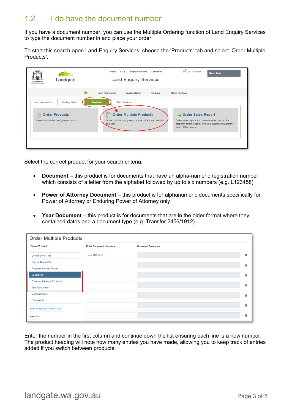#### <span id="page-3-0"></span>1.2 I do have the document number

If you have a document number, you can use the Multiple Ordering function of Land Enquiry Services to type the document number in and place your order.

To start this search open Land Enquiry Services, choose the 'Products' tab and select 'Order Multiple Products'.

| <b>GOVERNMENT OF</b><br>WESTERN AUSTRALIA                                                   | Landgate              | About                             | <b>FAQs</b><br><b>Helpful Resources</b><br><b>Land Enquiry Services</b>                                           | <b>Contact Us</b> | $\frac{1}{2}$ Cart is empty                                                                                                                                           | <b>Guest User</b> |
|---------------------------------------------------------------------------------------------|-----------------------|-----------------------------------|-------------------------------------------------------------------------------------------------------------------|-------------------|-----------------------------------------------------------------------------------------------------------------------------------------------------------------------|-------------------|
|                                                                                             |                       | ₳<br><b>Land Information</b>      | <b>Dealing Status</b>                                                                                             | <b>Products</b>   | <b>Other Services</b>                                                                                                                                                 |                   |
| <b>Land Information</b><br>E<br><b>Order Products</b><br>Search and order Landgate products | <b>Dealing Status</b> | <b>Products</b><br>Ξħ<br>one spot | <b>Other Services</b><br><b>Order Multiple Products</b><br>Order multiple Landgate products quickly and easily in |                   | <b>REAR Order Sales Report</b><br>Order sales reports that provide sales history of a<br>property, street, suburb or local government authority,<br>from 1988 onwards |                   |

Select the correct product for your search criteria:

- **Document**  this product is for documents that have an alpha-numeric registration number which consists of a letter from the alphabet followed by up to six numbers (e.g. L123458)
- **Power of Attorney Document** this product is for alphanumeric documents specifically for Power of Attorney or Enduring Power of Attorney only
- **Year Document** this product is for documents that are in the older format where they contained dates and a document type (e.g. Transfer 2456/1912).

| <b>Order Multiple Products</b>       |                               |                           |    |
|--------------------------------------|-------------------------------|---------------------------|----|
| <b>Select Product:</b>               | <b>Enter Document Numbers</b> | <b>Customer Reference</b> |    |
| <b>Certificate of Title</b>          | e.g. N123456                  |                           | 而  |
| Plan or Strata Plan                  |                               |                           | 荋  |
| <b>Property Interest Report</b>      |                               |                           |    |
| <b>Document</b>                      |                               |                           | 荋  |
| Power of Attorney Document           |                               |                           |    |
| <b>Year Document</b>                 |                               |                           | 前  |
| <b>Memorial Book</b>                 |                               |                           | 蘦  |
| <b>Title Watch</b>                   |                               |                           |    |
| <b>Enter Products to Add to Cart</b> |                               |                           | 侖  |
| <b>View Cart</b>                     |                               |                           | πī |

Enter the number in the first column and continue down the list ensuring each line is a new number. The product heading will note how many entries you have made, allowing you to keep track of entries added if you switch between products.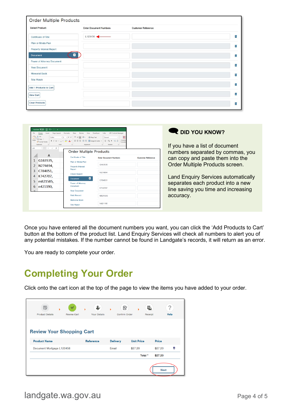| <b>Order Multiple Products</b>  |                               |                           |    |
|---------------------------------|-------------------------------|---------------------------|----|
| <b>Select Product:</b>          | <b>Enter Document Numbers</b> | <b>Customer Reference</b> |    |
| Certificate of Title            | L123456                       |                           | 苗  |
| Plan or Strata Plan             |                               |                           | 而  |
| <b>Property Interest Report</b> |                               |                           |    |
| 0<br><b>Document</b>            |                               |                           | 宙  |
| Power of Attorney Document      |                               |                           |    |
| <b>Year Document</b>            |                               |                           | πī |
| <b>Memorial Book</b>            |                               |                           | 茴  |
| <b>Title Watch</b>              |                               |                           |    |
| Add 1 Products to Cart          |                               |                           | 莆  |
| <b>View Cart</b>                |                               |                           | 前  |
| <b>Clear Products</b>           |                               |                           | 葡  |

| L <sub>14</sub> | Cut<br>Calibri<br>G Format Painter<br>Font<br>Clipboard<br>$\mathbf{v}$ $\mathbf{v}$ $\times$ $\mathbf{v}$ $\times$ | View<br>$\cdot$  1 $\cdot$ A' A' $\equiv \equiv \equiv$ $\Rightarrow$ $\cdot$   23 Wrap Text<br>B I U - ⊞ -   소 - A -   플 콜 콜   클 프   圖 Merge & Center -<br>Alignment | Developer<br><b>HPE Content Manage</b><br>匩<br>General<br>$5 - 969$ $\frac{1}{2}$ $\frac{42}{21}$<br>$\mathbb{Z}$<br>Number |                           | DID YOU KNOW?<br>If you have a list of document |
|-----------------|---------------------------------------------------------------------------------------------------------------------|-----------------------------------------------------------------------------------------------------------------------------------------------------------------------|-----------------------------------------------------------------------------------------------------------------------------|---------------------------|-------------------------------------------------|
|                 | A                                                                                                                   | <b>Order Multiple Products</b>                                                                                                                                        |                                                                                                                             |                           | numbers separated by commas, you                |
|                 | G163535,                                                                                                            | Certificate of Title<br>Plan or Strata Plan                                                                                                                           | <b>Enter Document Numbers</b>                                                                                               | <b>Customer Reference</b> | can copy and paste them into the                |
|                 | N274694,                                                                                                            | <b>Property Interest</b>                                                                                                                                              | G163535                                                                                                                     |                           | Order Multiple Products screen.                 |
| 3               | C784051,                                                                                                            | Report                                                                                                                                                                | N274694                                                                                                                     |                           |                                                 |
| 4               | K742707,                                                                                                            | <b>Check Search</b><br>$\blacksquare$                                                                                                                                 |                                                                                                                             |                           | <b>Land Enquiry Services automatically</b>      |
| 5               | m821585,                                                                                                            | <b>Document</b><br>Power of Attorney                                                                                                                                  | C784051                                                                                                                     |                           | separates each product into a new               |
| 6               | n421190,                                                                                                            | <b>Document</b><br><b>Year Document</b>                                                                                                                               | K742707                                                                                                                     |                           | line saving you time and increasing             |
|                 |                                                                                                                     | <b>Field Record</b>                                                                                                                                                   | M821585                                                                                                                     |                           | accuracy.                                       |
|                 |                                                                                                                     | <b>Memorial Book</b><br><b>Title Watch</b>                                                                                                                            | N421190                                                                                                                     |                           |                                                 |

Once you have entered all the document numbers you want, you can click the 'Add Products to Cart' button at the bottom of the product list. Land Enquiry Services will check all numbers to alert you of any potential mistakes. If the number cannot be found in Landgate's records, it will return as an error.

You are ready to complete your order.

## **Completing Your Order**

Click onto the cart icon at the top of the page to view the items you have added to your order.

| 國<br><b>Product Details</b>      | ь | Ψ<br><b>Review Cart</b> | <b>Your Details</b> | ь     | 身<br><b>Confirm Order</b> |                   |         | e,<br>Receipt | ?<br>Help |
|----------------------------------|---|-------------------------|---------------------|-------|---------------------------|-------------------|---------|---------------|-----------|
| <b>Review Your Shopping Cart</b> |   |                         |                     |       |                           |                   |         |               |           |
| <b>Product Name</b>              |   |                         | Reference           |       | <b>Delivery</b>           | <b>Unit Price</b> |         | Price         |           |
| Document Mortgage L123456        |   |                         |                     | Email |                           | \$27.20           |         | \$27.20       | 會         |
|                                  |   |                         |                     |       |                           |                   | Total * | \$27.20       |           |
|                                  |   |                         |                     |       |                           |                   |         | <b>Next</b>   |           |